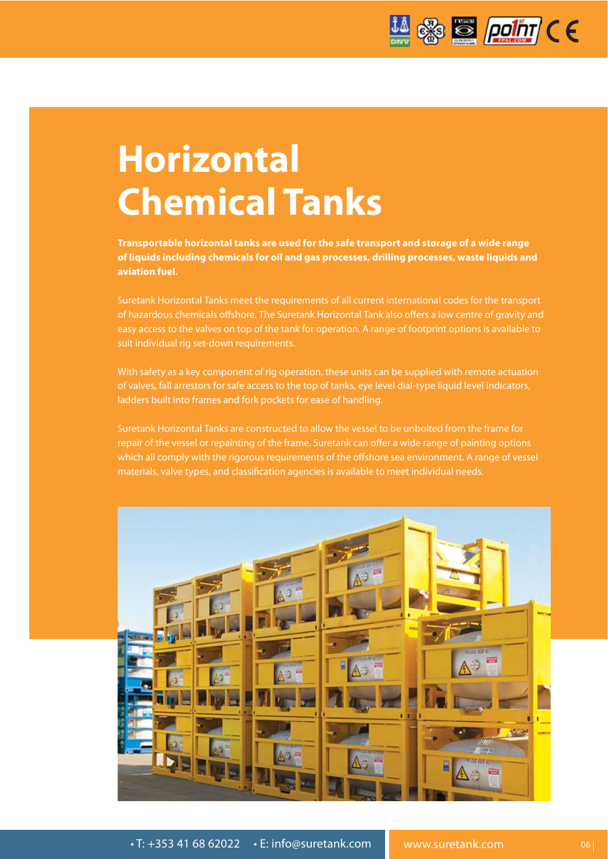

## **Horizontal Chemical Tanks**

**Transportable horizontal tanks are used for the safe transport and storage of a wide range of liquids including chemicals for oil and gas processes, drilling processes, waste liquids and aviation fuel.**

Suretank Horizontal Tanks meet the requirements of all current international codes for the transport of hazardous chemicals offshore. The Suretank Horizontal Tank also offers a low centre of gravity and easy access to the valves on top of the tank for operation. A range of footprint options is available to suit individual rig set-down requirements.

With safety as a key component of rig operation, these units can be supplied with remote actuation of valves, fall arrestors for safe access to the top of tanks, eye level dial-type liquid level indicators, ladders built into frames and fork pockets for ease of handling.

Suretank Horizontal Tanks are constructed to allow the vessel to be unbolted from the frame for repair of the vessel or repainting of the frame. Suretank can offer a wide range of painting options which all comply with the rigorous requirements of the offshore sea environment. A range of vessel materials, valve types, and classification agencies is available to meet individual needs.

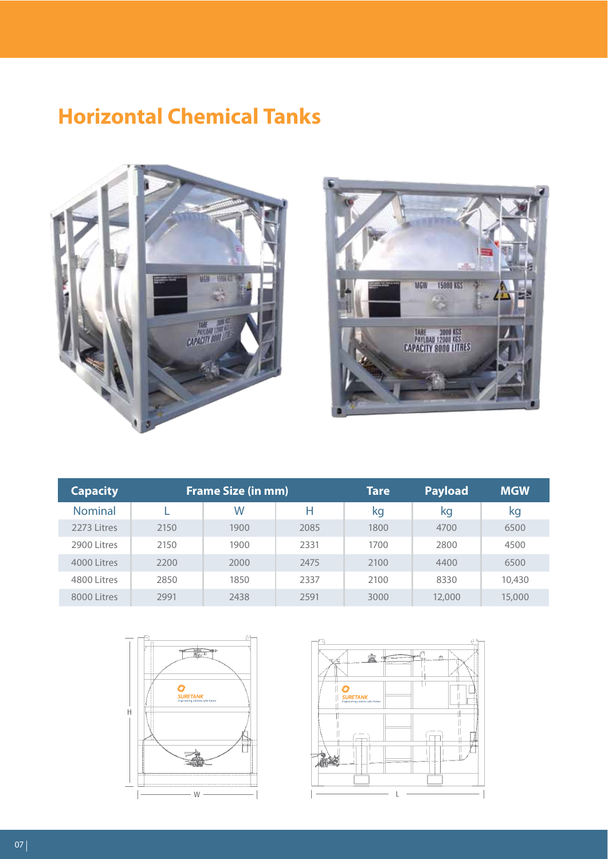### **Horizontal Chemical Tanks**





 $\frac{1}{1.001}$ 

**NUMBER** 

| <b>Capacity</b> | <b>Frame Size (in mm)</b> |      |      |  | 10430KG<br>NG M<br>Taot |  |
|-----------------|---------------------------|------|------|--|-------------------------|--|
| <b>Nominal</b>  |                           | W    | н    |  | PAVIDAD<br>8330 KG      |  |
| 2273 Litres     | 2150                      | 1900 | 2085 |  |                         |  |
| 2900 Litres     | 2150                      | 1900 | 2331 |  |                         |  |
| 4000 Litres     | 2200                      | 2000 | 2475 |  |                         |  |
| 4800 Litres     | 2850                      | 1850 | 2337 |  |                         |  |
| 8000 Litres     | 2991                      | 2438 | 2591 |  |                         |  |





W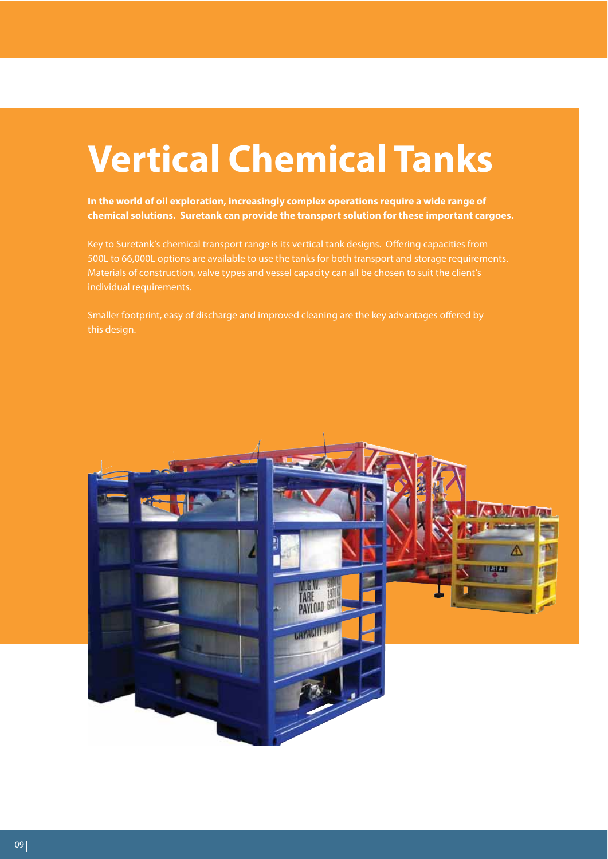# **Vertical Chemical Tanks**

**In the world of oil exploration, increasingly complex operations require a wide range of chemical solutions. Suretank can provide the transport solution for these important cargoes.** 

Key to Suretank's chemical transport range is its vertical tank designs. Offering capacities from 500L to 66,000L options are available to use the tanks for both transport and storage requirements. Materials of construction, valve types and vessel capacity can all be chosen to suit the client's individual requirements.

Smaller footprint, easy of discharge and improved cleaning are the key advantages offered by this design.

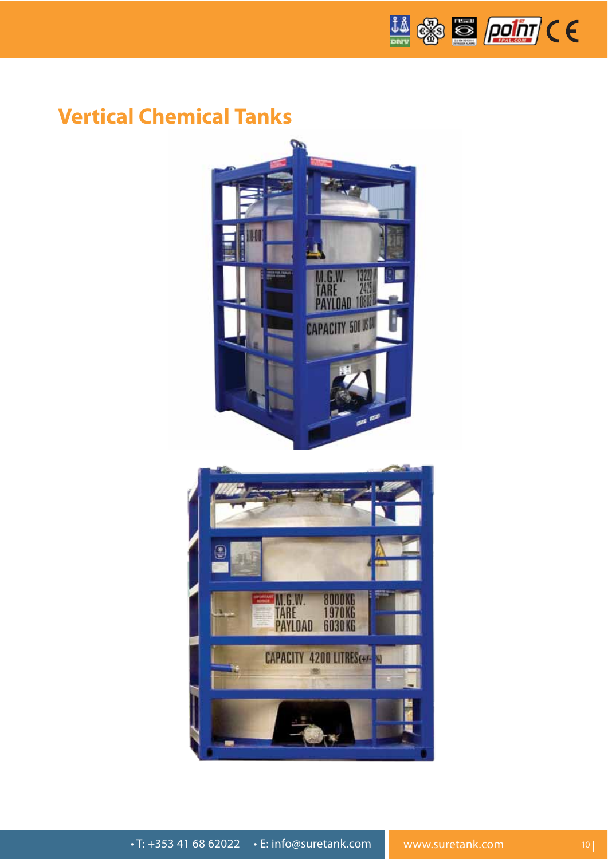

#### **Vertical Chemical Tanks**